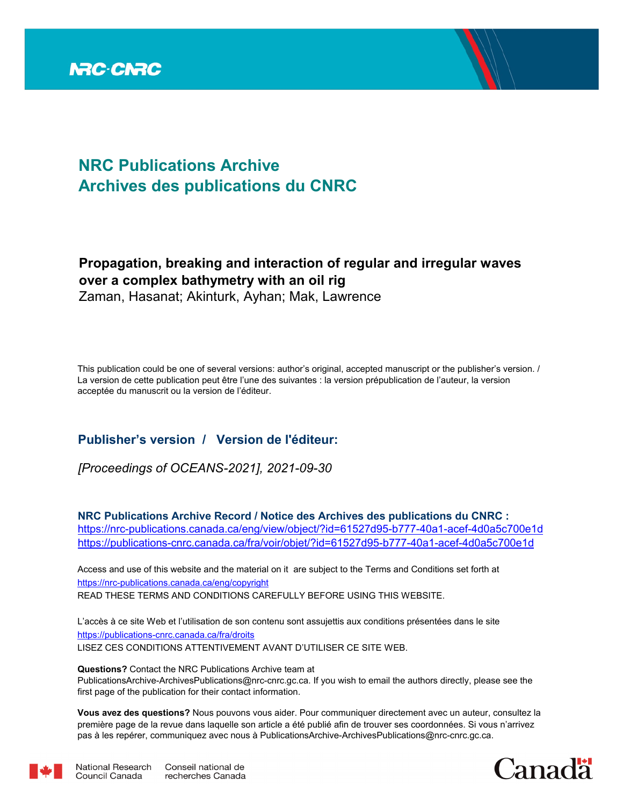

## **NRC Publications Archive Archives des publications du CNRC**

## **Propagation, breaking and interaction of regular and irregular waves over a complex bathymetry with an oil rig**

Zaman, Hasanat; Akinturk, Ayhan; Mak, Lawrence

This publication could be one of several versions: author's original, accepted manuscript or the publisher's version. / La version de cette publication peut être l'une des suivantes : la version prépublication de l'auteur, la version acceptée du manuscrit ou la version de l'éditeur.

### **Publisher's version / Version de l'éditeur:**

*[Proceedings of OCEANS-2021], 2021-09-30*

**NRC Publications Archive Record / Notice des Archives des publications du CNRC :** https://nrc-publications.canada.ca/eng/view/object/?id=61527d95-b777-40a1-acef-4d0a5c700e1d https://publications-cnrc.canada.ca/fra/voir/objet/?id=61527d95-b777-40a1-acef-4d0a5c700e1d

READ THESE TERMS AND CONDITIONS CAREFULLY BEFORE USING THIS WEBSITE. https://nrc-publications.canada.ca/eng/copyright Access and use of this website and the material on it are subject to the Terms and Conditions set forth at

https://publications-cnrc.canada.ca/fra/droits L'accès à ce site Web et l'utilisation de son contenu sont assujettis aux conditions présentées dans le site LISEZ CES CONDITIONS ATTENTIVEMENT AVANT D'UTILISER CE SITE WEB.

**Questions?** Contact the NRC Publications Archive team at PublicationsArchive-ArchivesPublications@nrc-cnrc.gc.ca. If you wish to email the authors directly, please see the first page of the publication for their contact information.

**Vous avez des questions?** Nous pouvons vous aider. Pour communiquer directement avec un auteur, consultez la première page de la revue dans laquelle son article a été publié afin de trouver ses coordonnées. Si vous n'arrivez pas à les repérer, communiquez avec nous à PublicationsArchive-ArchivesPublications@nrc-cnrc.gc.ca.



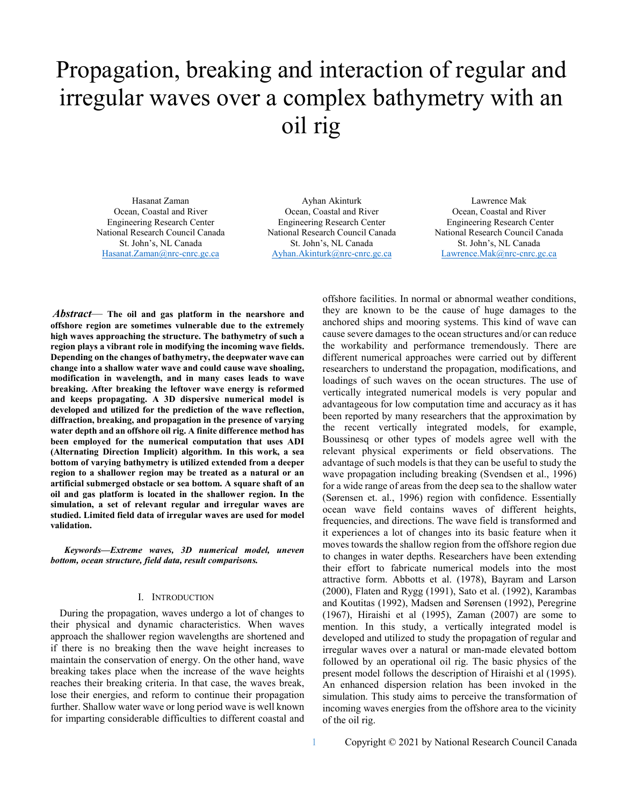# Propagation, breaking and interaction of regular and irregular waves over a complex bathymetry with an oil rig

Hasanat Zaman Ocean, Coastal and River Engineering Research Center National Research Council Canada St. John's, NL Canada Hasanat.Zaman@nrc-cnrc.gc.ca

Ayhan Akinturk Ocean, Coastal and River Engineering Research Center National Research Council Canada St. John's, NL Canada Ayhan.Akinturk@nrc-cnrc.gc.ca

Lawrence Mak Ocean, Coastal and River Engineering Research Center National Research Council Canada St. John's, NL Canada Lawrence.Mak@nrc-cnrc.gc.ca

*Abstract*— **The oil and gas platform in the nearshore and offshore region are sometimes vulnerable due to the extremely high waves approaching the structure. The bathymetry of such a region plays a vibrant role in modifying the incoming wave fields. Depending on the changes of bathymetry, the deepwater wave can change into a shallow water wave and could cause wave shoaling, modification in wavelength, and in many cases leads to wave breaking. After breaking the leftover wave energy is reformed and keeps propagating. A 3D dispersive numerical model is developed and utilized for the prediction of the wave reflection, diffraction, breaking, and propagation in the presence of varying water depth and an offshore oil rig. A finite difference method has been employed for the numerical computation that uses ADI (Alternating Direction Implicit) algorithm. In this work, a sea bottom of varying bathymetry is utilized extended from a deeper region to a shallower region may be treated as a natural or an artificial submerged obstacle or sea bottom. A square shaft of an oil and gas platform is located in the shallower region. In the simulation, a set of relevant regular and irregular waves are studied. Limited field data of irregular waves are used for model validation.**

*Keywords—Extreme waves, 3D numerical model, uneven bottom, ocean structure, field data, result comparisons.* 

#### I. INTRODUCTION

During the propagation, waves undergo a lot of changes to their physical and dynamic characteristics. When waves approach the shallower region wavelengths are shortened and if there is no breaking then the wave height increases to maintain the conservation of energy. On the other hand, wave breaking takes place when the increase of the wave heights reaches their breaking criteria. In that case, the waves break, lose their energies, and reform to continue their propagation further. Shallow water wave or long period wave is well known for imparting considerable difficulties to different coastal and offshore facilities. In normal or abnormal weather conditions, they are known to be the cause of huge damages to the anchored ships and mooring systems. This kind of wave can cause severe damages to the ocean structures and/or can reduce the workability and performance tremendously. There are different numerical approaches were carried out by different researchers to understand the propagation, modifications, and loadings of such waves on the ocean structures. The use of vertically integrated numerical models is very popular and advantageous for low computation time and accuracy as it has been reported by many researchers that the approximation by the recent vertically integrated models, for example, Boussinesq or other types of models agree well with the relevant physical experiments or field observations. The advantage of such models is that they can be useful to study the wave propagation including breaking (Svendsen et al., 1996) for a wide range of areas from the deep sea to the shallow water (Sørensen et. al., 1996) region with confidence. Essentially ocean wave field contains waves of different heights, frequencies, and directions. The wave field is transformed and it experiences a lot of changes into its basic feature when it moves towards the shallow region from the offshore region due to changes in water depths. Researchers have been extending their effort to fabricate numerical models into the most attractive form. Abbotts et al. (1978), Bayram and Larson (2000), Flaten and Rygg (1991), Sato et al. (1992), Karambas and Koutitas (1992), Madsen and Sørensen (1992), Peregrine (1967), Hiraishi et al (1995), Zaman (2007) are some to mention. In this study, a vertically integrated model is developed and utilized to study the propagation of regular and irregular waves over a natural or man-made elevated bottom followed by an operational oil rig. The basic physics of the present model follows the description of Hiraishi et al (1995). An enhanced dispersion relation has been invoked in the simulation. This study aims to perceive the transformation of incoming waves energies from the offshore area to the vicinity of the oil rig.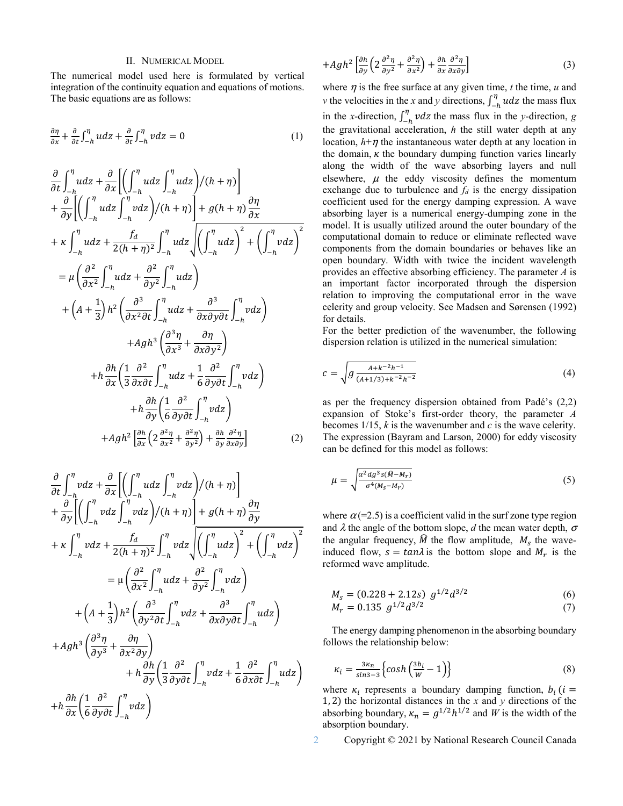#### II. NUMERICAL MODEL

The numerical model used here is formulated by vertical integration of the continuity equation and equations of motions. The basic equations are as follows:

$$
\frac{\partial \eta}{\partial x} + \frac{\partial}{\partial t} \int_{-h}^{\eta} u dz + \frac{\partial}{\partial t} \int_{-h}^{\eta} v dz = 0
$$
 (1)

$$
\frac{\partial}{\partial t} \int_{-h}^{\eta} u dz + \frac{\partial}{\partial x} \Biggl[ \Biggl( \int_{-h}^{\eta} u dz \int_{-h}^{\eta} u dz \Biggr) / (h + \eta) \Biggr] \n+ \frac{\partial}{\partial y} \Biggl[ \Biggl( \int_{-h}^{\eta} u dz \int_{-h}^{\eta} v dz \Biggr) / (h + \eta) \Biggr] + g (h + \eta) \frac{\partial \eta}{\partial x} \n+ \kappa \int_{-h}^{\eta} u dz + \frac{f_d}{2(h + \eta)^2} \int_{-h}^{\eta} u dz \Biggr] \Biggl( \int_{-h}^{\eta} u dz \Biggr)^2 + \Biggl( \int_{-h}^{\eta} v dz \Biggr)^2 \n= \mu \Biggl( \frac{\partial^2}{\partial x^2} \int_{-h}^{\eta} u dz + \frac{\partial^2}{\partial y^2} \int_{-h}^{\eta} u dz \Biggr) \n+ \Biggl( A + \frac{1}{3} \Biggr) h^2 \Biggl( \frac{\partial^3}{\partial x^2 \partial t} \int_{-h}^{\eta} u dz + \frac{\partial^3}{\partial x \partial y \partial t} \int_{-h}^{\eta} v dz \Biggr) \n+ A g h^3 \Biggl( \frac{\partial^3 \eta}{\partial x^3} + \frac{\partial \eta}{\partial x \partial y^2} \Biggr) \n+ h \frac{\partial h}{\partial x} \Biggl( \frac{1}{3} \frac{\partial^2}{\partial x \partial t} \int_{-h}^{\eta} u dz + \frac{1}{6} \frac{\partial^2}{\partial y \partial t} \int_{-h}^{\eta} v dz \Biggr) \n+ h \frac{\partial h}{\partial y} \Biggl( \frac{1}{6} \frac{\partial^2}{\partial y \partial t} \int_{-h}^{\eta} v dz \Biggr) \n+ A g h^2 \Biggl[ \frac{\partial h}{\partial x} \Biggl( 2 \frac{\partial^2 \eta}{\partial x^2} + \frac{\partial^2 \eta}{\partial y^2} \Biggr) + \frac{\partial h}{\partial y} \frac{\partial^2 \eta}{\partial x \partial y} \Biggr] \tag{2}
$$

$$
\frac{\partial}{\partial t} \int_{-h}^{\eta} v dz + \frac{\partial}{\partial x} \left[ \left( \int_{-h}^{\eta} u dz \int_{-h}^{\eta} v dz \right) / (h + \eta) \right] \n+ \frac{\partial}{\partial y} \left[ \left( \int_{-h}^{\eta} v dz \int_{-h}^{\eta} v dz \right) / (h + \eta) \right] + g (h + \eta) \frac{\partial \eta}{\partial y} \n+ \kappa \int_{-h}^{\eta} v dz + \frac{f_d}{2(h + \eta)^2} \int_{-h}^{\eta} v dz \sqrt{\left( \int_{-h}^{\eta} u dz \right)^2 + \left( \int_{-h}^{\eta} v dz \right)^2} \n= \mu \left( \frac{\partial^2}{\partial x^2} \int_{-h}^{\eta} u dz + \frac{\partial^2}{\partial y^2} \int_{-h}^{\eta} v dz \right) \n+ \left( A + \frac{1}{3} \right) h^2 \left( \frac{\partial^3}{\partial y^2} \int_{-h}^{\eta} v dz + \frac{\partial^3}{\partial x \partial y \partial t} \int_{-h}^{\eta} u dz \right) \n+ A g h^3 \left( \frac{\partial^3 \eta}{\partial y^3} + \frac{\partial \eta}{\partial x^2 \partial y} \right) \n+ h \frac{\partial h}{\partial y} \left( \frac{1}{3} \frac{\partial^2}{\partial y \partial t} \int_{-h}^{\eta} v dz + \frac{1}{6} \frac{\partial^2}{\partial x \partial t} \int_{-h}^{\eta} u dz \right) \n+ h \frac{\partial h}{\partial x} \left( \frac{1}{6} \frac{\partial^2}{\partial y \partial t} \int_{-h}^{\eta} v dz \right)
$$

 $+h\frac{\partial h}{\partial x}\left(\frac{1}{6}\right)$ 6

 $\overline{\partial y \partial t} \int_{-h} v dz$ 

$$
+Agh^2\left[\frac{\partial h}{\partial y}\left(2\frac{\partial^2 \eta}{\partial y^2} + \frac{\partial^2 \eta}{\partial x^2}\right) + \frac{\partial h}{\partial x}\frac{\partial^2 \eta}{\partial x \partial y}\right]
$$
(3)

where  $\eta$  is the free surface at any given time,  $t$  the time,  $u$  and *v* the velocities in the *x* and *y* directions,  $\int_{-h}^{\eta} u dz$  the mass flux in the *x*-direction,  $\int_{-h}^{\eta} v dz$  the mass flux in the *y*-direction, *g* the gravitational acceleration, *h* the still water depth at any location,  $h + \eta$  the instantaneous water depth at any location in the domain,  $\kappa$  the boundary dumping function varies linearly along the width of the wave absorbing layers and null elsewhere,  $\mu$  the eddy viscosity defines the momentum exchange due to turbulence and *fd* is the energy dissipation coefficient used for the energy damping expression. A wave absorbing layer is a numerical energy-dumping zone in the model. It is usually utilized around the outer boundary of the computational domain to reduce or eliminate reflected wave components from the domain boundaries or behaves like an open boundary. Width with twice the incident wavelength provides an effective absorbing efficiency. The parameter *A* is an important factor incorporated through the dispersion relation to improving the computational error in the wave celerity and group velocity. See Madsen and Sørensen (1992) for details.

For the better prediction of the wavenumber, the following dispersion relation is utilized in the numerical simulation:

$$
c = \sqrt{g \frac{A + k^{-2}h^{-1}}{(A + 1/3) + k^{-2}h^{-2}}}
$$
 (4)

as per the frequency dispersion obtained from Padé's (2,2) expansion of Stoke's first-order theory, the parameter *A* becomes 1/15, *k* is the wavenumber and *c* is the wave celerity. The expression (Bayram and Larson, 2000) for eddy viscosity can be defined for this model as follows:

$$
\mu = \sqrt{\frac{\alpha^2 dg^3 s(\hat{M} - M_r)}{\sigma^4 (M_s - M_r)}}
$$
(5)

where  $\alpha$  (=2.5) is a coefficient valid in the surf zone type region and  $\lambda$  the angle of the bottom slope,  $d$  the mean water depth,  $\sigma$ the angular frequency,  $\hat{M}$  the flow amplitude,  $M_s$  the waveinduced flow,  $s = \tan \lambda$  is the bottom slope and  $M_r$  is the reformed wave amplitude.

$$
M_s = (0.228 + 2.12s) g^{1/2} d^{3/2}
$$
 (6)

$$
M_r = 0.135 \ g^{1/2} d^{3/2} \tag{7}
$$

The energy damping phenomenon in the absorbing boundary follows the relationship below:

$$
\kappa_i = \frac{3\kappa_n}{\sin 3} \Big\{ \cosh \Big( \frac{3b_i}{W} - 1 \Big) \Big\} \tag{8}
$$

where  $\kappa_i$  represents a boundary damping function,  $b_i$  ( $i =$ 1, 2) the horizontal distances in the *x* and *y* directions of the absorbing boundary,  $\kappa_n = g^{1/2} h^{1/2}$  and *W* is the width of the absorption boundary.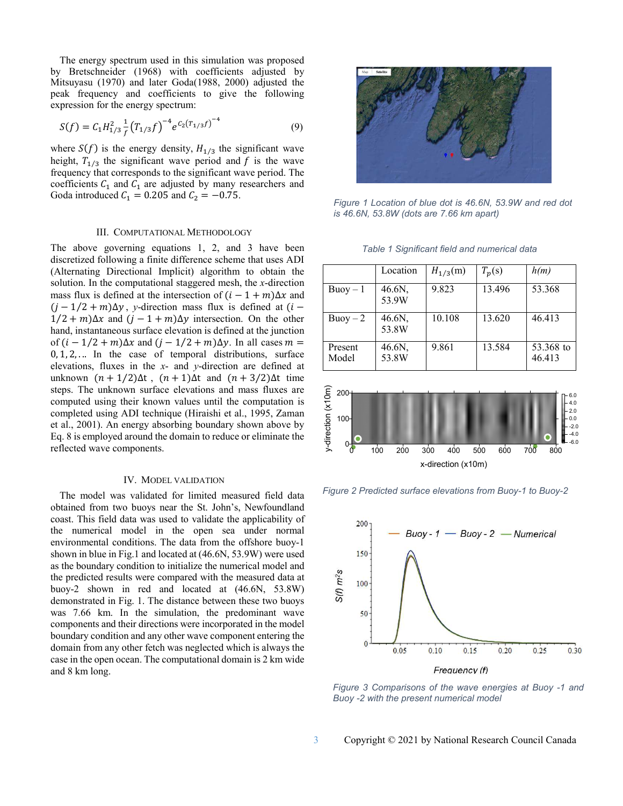The energy spectrum used in this simulation was proposed by Bretschneider (1968) with coefficients adjusted by Mitsuyasu (1970) and later Goda(1988, 2000) adjusted the peak frequency and coefficients to give the following expression for the energy spectrum:

$$
S(f) = C_1 H_{1/3}^2 \frac{1}{f} (T_{1/3} f)^{-4} e^{C_2 (T_{1/3} f)^{-4}}
$$
\n(9)

where  $S(f)$  is the energy density,  $H_{1/3}$  the significant wave height,  $T_{1/3}$  the significant wave period and f is the wave frequency that corresponds to the significant wave period. The coefficients  $C_1$  and  $C_1$  are adjusted by many researchers and Goda introduced  $C_1 = 0.205$  and  $C_2 = -0.75$ .

#### III. COMPUTATIONAL METHODOLOGY

The above governing equations 1, 2, and 3 have been discretized following a finite difference scheme that uses ADI (Alternating Directional Implicit) algorithm to obtain the solution. In the computational staggered mesh, the *x*-direction mass flux is defined at the intersection of  $(i - 1 + m)\Delta x$  and  $(j - 1/2 + m)\Delta y$ , *y*-direction mass flux is defined at  $(i 1/2 + m)\Delta x$  and  $(j - 1 + m)\Delta y$  intersection. On the other hand, instantaneous surface elevation is defined at the junction of  $(i - 1/2 + m)\Delta x$  and  $(j - 1/2 + m)\Delta y$ . In all cases  $m =$  $0, 1, 2, \ldots$  In the case of temporal distributions, surface elevations, fluxes in the *x*- and *y*-direction are defined at unknown  $(n + 1/2)\Delta t$ ,  $(n + 1)\Delta t$  and  $(n + 3/2)\Delta t$  time steps. The unknown surface elevations and mass fluxes are computed using their known values until the computation is completed using ADI technique (Hiraishi et al., 1995, Zaman et al., 2001). An energy absorbing boundary shown above by Eq. 8 is employed around the domain to reduce or eliminate the reflected wave components.

#### IV. MODEL VALIDATION

The model was validated for limited measured field data obtained from two buoys near the St. John's, Newfoundland coast. This field data was used to validate the applicability of the numerical model in the open sea under normal environmental conditions. The data from the offshore buoy-1 shown in blue in Fig.1 and located at (46.6N, 53.9W) were used as the boundary condition to initialize the numerical model and the predicted results were compared with the measured data at buoy-2 shown in red and located at (46.6N, 53.8W) demonstrated in Fig. 1. The distance between these two buoys was 7.66 km. In the simulation, the predominant wave components and their directions were incorporated in the model boundary condition and any other wave component entering the domain from any other fetch was neglected which is always the case in the open ocean. The computational domain is 2 km wide and 8 km long.



*Figure 1 Location of blue dot is 46.6N, 53.9W and red dot is 46.6N, 53.8W (dots are 7.66 km apart)*

|  | Table 1 Significant field and numerical data |  |  |  |  |
|--|----------------------------------------------|--|--|--|--|
|--|----------------------------------------------|--|--|--|--|

|                  | Location        | $H_{1/3}(m)$ | $T_p(s)$ | h(m)                |
|------------------|-----------------|--------------|----------|---------------------|
| $Buoy-1$         | 46.6N,<br>53.9W | 9.823        | 13.496   | 53.368              |
| $B$ uov $-2$     | 46.6N,<br>53.8W | 10.108       | 13.620   | 46.413              |
| Present<br>Model | 46.6N,<br>53.8W | 9.861        | 13.584   | 53.368 to<br>46.413 |



*Figure 2 Predicted surface elevations from Buoy-1 to Buoy-2*



*Figure 3 Comparisons of the wave energies at Buoy -1 and Buoy -2 with the present numerical model*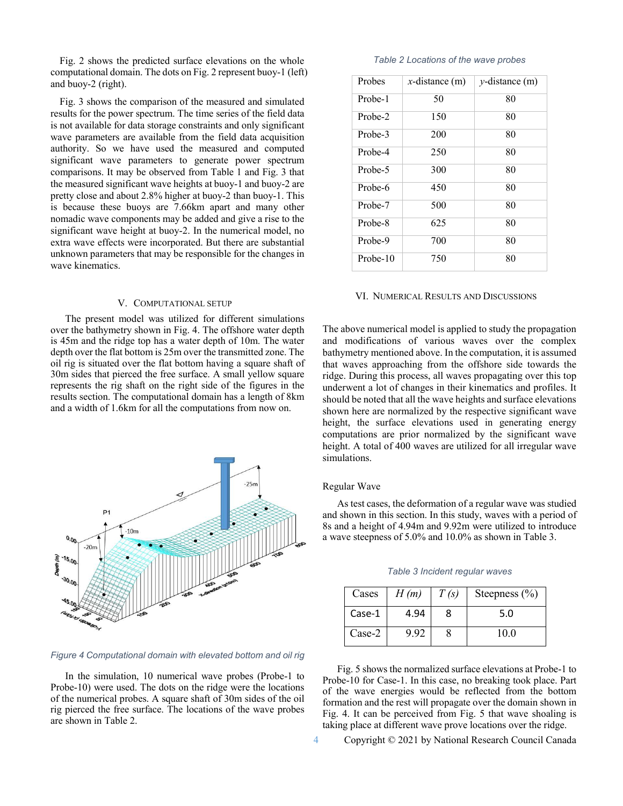Fig. 2 shows the predicted surface elevations on the whole computational domain. The dots on Fig. 2 represent buoy-1 (left) and buoy-2 (right).

Fig. 3 shows the comparison of the measured and simulated results for the power spectrum. The time series of the field data is not available for data storage constraints and only significant wave parameters are available from the field data acquisition authority. So we have used the measured and computed significant wave parameters to generate power spectrum comparisons. It may be observed from Table 1 and Fig. 3 that the measured significant wave heights at buoy-1 and buoy-2 are pretty close and about 2.8% higher at buoy-2 than buoy-1. This is because these buoys are 7.66km apart and many other nomadic wave components may be added and give a rise to the significant wave height at buoy-2. In the numerical model, no extra wave effects were incorporated. But there are substantial unknown parameters that may be responsible for the changes in wave kinematics.

#### V. COMPUTATIONAL SETUP

The present model was utilized for different simulations over the bathymetry shown in Fig. 4. The offshore water depth is 45m and the ridge top has a water depth of 10m. The water depth over the flat bottom is 25m over the transmitted zone. The oil rig is situated over the flat bottom having a square shaft of 30m sides that pierced the free surface. A small yellow square represents the rig shaft on the right side of the figures in the results section. The computational domain has a length of 8km and a width of 1.6km for all the computations from now on.



#### *Figure 4 Computational domain with elevated bottom and oil rig*

In the simulation, 10 numerical wave probes (Probe-1 to Probe-10) were used. The dots on the ridge were the locations of the numerical probes. A square shaft of 30m sides of the oil rig pierced the free surface. The locations of the wave probes are shown in Table 2.

#### *Table 2 Locations of the wave probes*

| Probes   | x-distance $(m)$ | $y$ -distance $(m)$ |  |
|----------|------------------|---------------------|--|
| Probe-1  | 50               | 80                  |  |
| Probe-2  | 150              | 80                  |  |
| Probe-3  | 200              | 80                  |  |
| Probe-4  | 250              | 80                  |  |
| Probe-5  | 300              | 80                  |  |
| Probe-6  | 450              | 80                  |  |
| Probe-7  | 500              | 80                  |  |
| Probe-8  | 625              | 80                  |  |
| Probe-9  | 700              | 80                  |  |
| Probe-10 | 750              | 80                  |  |

#### VI. NUMERICAL RESULTS AND DISCUSSIONS

The above numerical model is applied to study the propagation and modifications of various waves over the complex bathymetry mentioned above. In the computation, it is assumed that waves approaching from the offshore side towards the ridge. During this process, all waves propagating over this top underwent a lot of changes in their kinematics and profiles. It should be noted that all the wave heights and surface elevations shown here are normalized by the respective significant wave height, the surface elevations used in generating energy computations are prior normalized by the significant wave height. A total of 400 waves are utilized for all irregular wave simulations.

#### Regular Wave

As test cases, the deformation of a regular wave was studied and shown in this section. In this study, waves with a period of 8s and a height of 4.94m and 9.92m were utilized to introduce a wave steepness of 5.0% and 10.0% as shown in Table 3.

|  | Table 3 Incident regular waves |  |
|--|--------------------------------|--|
|--|--------------------------------|--|

| Cases  | H(m) | T(s) | Steepness $(\% )$ |
|--------|------|------|-------------------|
| Case-1 | 4.94 |      | 5.0               |
| Case-2 | 9.92 |      | 10.0              |

Fig. 5 shows the normalized surface elevations at Probe-1 to Probe-10 for Case-1. In this case, no breaking took place. Part of the wave energies would be reflected from the bottom formation and the rest will propagate over the domain shown in Fig. 4. It can be perceived from Fig. 5 that wave shoaling is taking place at different wave prove locations over the ridge.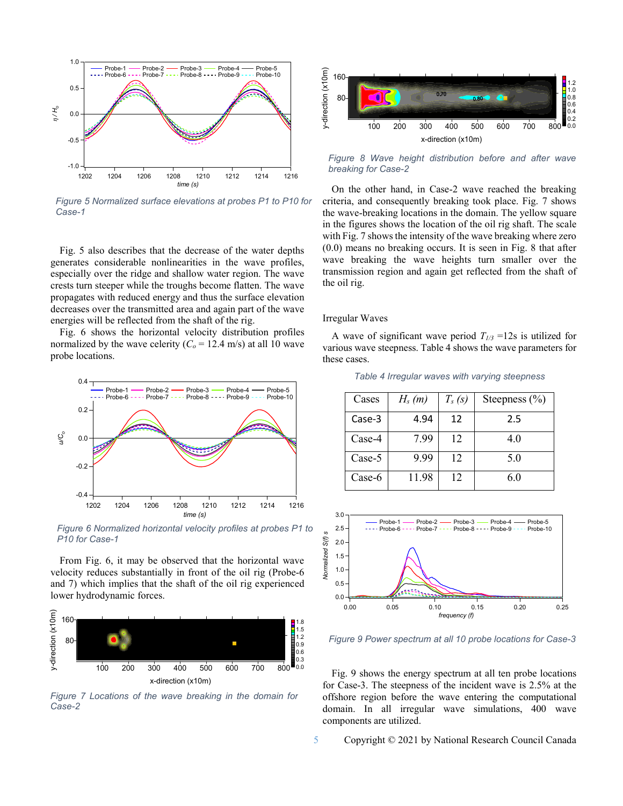

*Figure 5 Normalized surface elevations at probes P1 to P10 for Case-1* 

Fig. 5 also describes that the decrease of the water depths generates considerable nonlinearities in the wave profiles, especially over the ridge and shallow water region. The wave crests turn steeper while the troughs become flatten. The wave propagates with reduced energy and thus the surface elevation decreases over the transmitted area and again part of the wave energies will be reflected from the shaft of the rig.

Fig. 6 shows the horizontal velocity distribution profiles normalized by the wave celerity  $(C_o = 12.4 \text{ m/s})$  at all 10 wave probe locations.



*Figure 6 Normalized horizontal velocity profiles at probes P1 to P10 for Case-1*

From Fig. 6, it may be observed that the horizontal wave velocity reduces substantially in front of the oil rig (Probe-6 and 7) which implies that the shaft of the oil rig experienced lower hydrodynamic forces.



*Figure 7 Locations of the wave breaking in the domain for Case-2*



*Figure 8 Wave height distribution before and after wave breaking for Case-2*

On the other hand, in Case-2 wave reached the breaking criteria, and consequently breaking took place. Fig. 7 shows the wave-breaking locations in the domain. The yellow square in the figures shows the location of the oil rig shaft. The scale with Fig. 7 shows the intensity of the wave breaking where zero (0.0) means no breaking occurs. It is seen in Fig. 8 that after wave breaking the wave heights turn smaller over the transmission region and again get reflected from the shaft of the oil rig.

#### Irregular Waves

A wave of significant wave period  $T_{1/3}$  =12s is utilized for various wave steepness. Table 4 shows the wave parameters for these cases.

| Cases    | $H_s(m)$ | $T_s(s)$ | Steepness $(\% )$ |
|----------|----------|----------|-------------------|
| Case-3   | 4.94     | 12       | 2.5               |
| $Case-4$ | 7.99     | 12       | 4.0               |
| $Case-5$ | 9.99     | 12       | 5.0               |
| $Case-6$ | 11.98    | 12       | 6.0               |

*Table 4 Irregular waves with varying steepness* 



*Figure 9 Power spectrum at all 10 probe locations for Case-3*

Fig. 9 shows the energy spectrum at all ten probe locations for Case-3. The steepness of the incident wave is 2.5% at the offshore region before the wave entering the computational domain. In all irregular wave simulations, 400 wave components are utilized.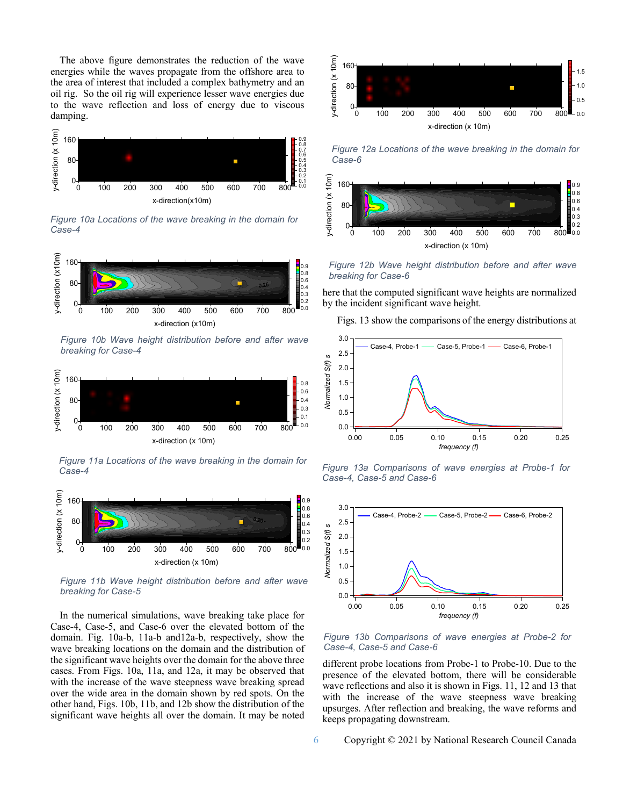The above figure demonstrates the reduction of the wave energies while the waves propagate from the offshore area to the area of interest that included a complex bathymetry and an oil rig. So the oil rig will experience lesser wave energies due to the wave reflection and loss of energy due to viscous damping.



*Figure 10a Locations of the wave breaking in the domain for Case-4*



*Figure 10b Wave height distribution before and after wave breaking for Case-4*



*Figure 11a Locations of the wave breaking in the domain for Case-4*



*Figure 11b Wave height distribution before and after wave breaking for Case-5*

In the numerical simulations, wave breaking take place for Case-4, Case-5, and Case-6 over the elevated bottom of the domain. Fig. 10a-b, 11a-b and12a-b, respectively, show the wave breaking locations on the domain and the distribution of the significant wave heights over the domain for the above three cases. From Figs. 10a, 11a, and 12a, it may be observed that with the increase of the wave steepness wave breaking spread over the wide area in the domain shown by red spots. On the other hand, Figs. 10b, 11b, and 12b show the distribution of the significant wave heights all over the domain. It may be noted



*Figure 12a Locations of the wave breaking in the domain for Case-6*



*Figure 12b Wave height distribution before and after wave breaking for Case-6*

here that the computed significant wave heights are normalized by the incident significant wave height.

Figs. 13 show the comparisons of the energy distributions at



*Figure 13a Comparisons of wave energies at Probe-1 for Case-4, Case-5 and Case-6*



*Figure 13b Comparisons of wave energies at Probe-2 for Case-4, Case-5 and Case-6*

different probe locations from Probe-1 to Probe-10. Due to the presence of the elevated bottom, there will be considerable wave reflections and also it is shown in Figs. 11, 12 and 13 that with the increase of the wave steepness wave breaking upsurges. After reflection and breaking, the wave reforms and keeps propagating downstream.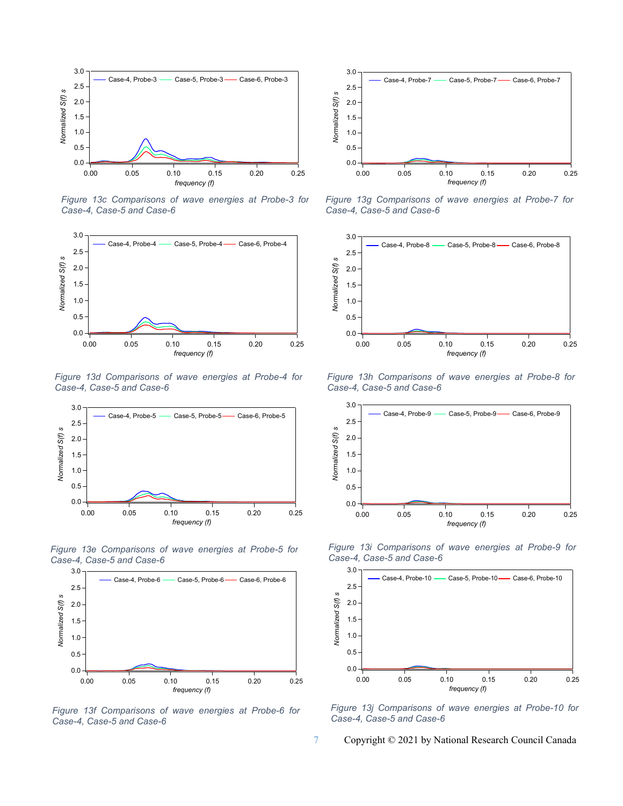

*Figure 13c Comparisons of wave energies at Probe-3 for Case-4, Case-5 and Case-6*



*Figure 13d Comparisons of wave energies at Probe-4 for Case-4, Case-5 and Case-6*



*Figure 13e Comparisons of wave energies at Probe-5 for Case-4, Case-5 and Case-6*



*Figure 13f Comparisons of wave energies at Probe-6 for Case-4, Case-5 and Case-6*



*Figure 13g Comparisons of wave energies at Probe-7 for Case-4, Case-5 and Case-6*



*Figure 13h Comparisons of wave energies at Probe-8 for Case-4, Case-5 and Case-6*



*Figure 13i Comparisons of wave energies at Probe-9 for Case-4, Case-5 and Case-6*



*Figure 13j Comparisons of wave energies at Probe-10 for Case-4, Case-5 and Case-6*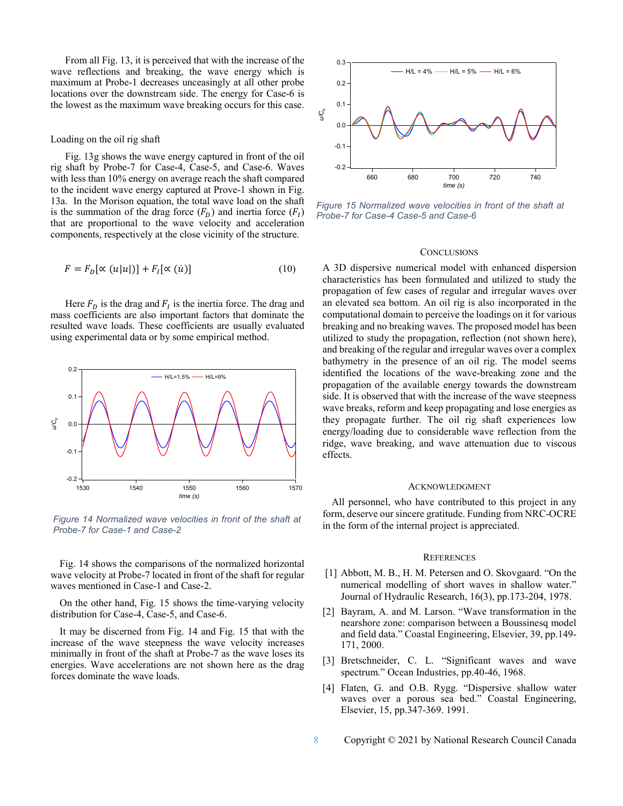From all Fig. 13, it is perceived that with the increase of the wave reflections and breaking, the wave energy which is maximum at Probe-1 decreases unceasingly at all other probe locations over the downstream side. The energy for Case-6 is the lowest as the maximum wave breaking occurs for this case.

#### Loading on the oil rig shaft

Fig. 13g shows the wave energy captured in front of the oil rig shaft by Probe-7 for Case-4, Case-5, and Case-6. Waves with less than 10% energy on average reach the shaft compared to the incident wave energy captured at Prove-1 shown in Fig. 13a. In the Morison equation, the total wave load on the shaft is the summation of the drag force  $(F_D)$  and inertia force  $(F_I)$ that are proportional to the wave velocity and acceleration components, respectively at the close vicinity of the structure.

$$
F = F_D[\propto (u|u|)] + F_I[\propto (u)] \tag{10}
$$

Here  $F_D$  is the drag and  $F_I$  is the inertia force. The drag and mass coefficients are also important factors that dominate the resulted wave loads. These coefficients are usually evaluated using experimental data or by some empirical method.



*Figure 14 Normalized wave velocities in front of the shaft at Probe-7 for Case-1 and Case-2*

Fig. 14 shows the comparisons of the normalized horizontal wave velocity at Probe-7 located in front of the shaft for regular waves mentioned in Case-1 and Case-2.

On the other hand, Fig. 15 shows the time-varying velocity distribution for Case-4, Case-5, and Case-6.

It may be discerned from Fig. 14 and Fig. 15 that with the increase of the wave steepness the wave velocity increases minimally in front of the shaft at Probe-7 as the wave loses its energies. Wave accelerations are not shown here as the drag forces dominate the wave loads.



*Figure 15 Normalized wave velocities in front of the shaft at Probe-7 for Case-4 Case-5 and Case-6*

#### **CONCLUSIONS**

A 3D dispersive numerical model with enhanced dispersion characteristics has been formulated and utilized to study the propagation of few cases of regular and irregular waves over an elevated sea bottom. An oil rig is also incorporated in the computational domain to perceive the loadings on it for various breaking and no breaking waves. The proposed model has been utilized to study the propagation, reflection (not shown here), and breaking of the regular and irregular waves over a complex bathymetry in the presence of an oil rig. The model seems identified the locations of the wave-breaking zone and the propagation of the available energy towards the downstream side. It is observed that with the increase of the wave steepness wave breaks, reform and keep propagating and lose energies as they propagate further. The oil rig shaft experiences low energy/loading due to considerable wave reflection from the ridge, wave breaking, and wave attenuation due to viscous effects.

#### ACKNOWLEDGMENT

All personnel, who have contributed to this project in any form, deserve our sincere gratitude. Funding from NRC-OCRE in the form of the internal project is appreciated.

#### **REFERENCES**

- [1] Abbott, M. B., H. M. Petersen and O. Skovgaard. "On the numerical modelling of short waves in shallow water." Journal of Hydraulic Research, 16(3), pp.173-204, 1978.
- [2] Bayram, A. and M. Larson. "Wave transformation in the nearshore zone: comparison between a Boussinesq model and field data." Coastal Engineering, Elsevier, 39, pp.149- 171, 2000.
- [3] Bretschneider, C. L. "Significant waves and wave spectrum." Ocean Industries, pp.40-46, 1968.
- [4] Flaten, G. and O.B. Rygg. "Dispersive shallow water waves over a porous sea bed." Coastal Engineering, Elsevier, 15, pp.347-369. 1991.
- 8 Copyright © 2021 by National Research Council Canada